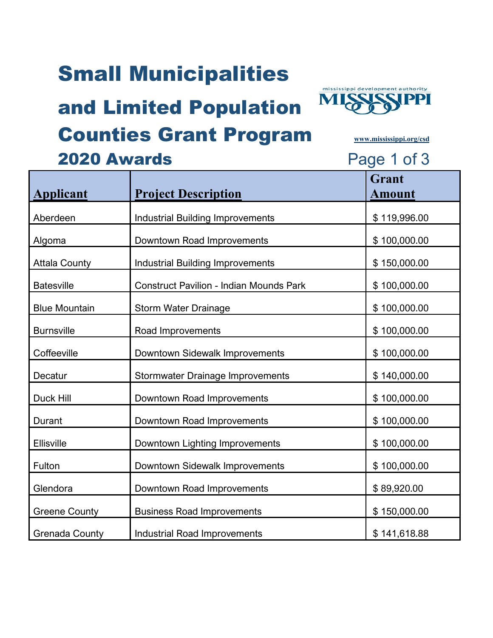### Small Municipalities

#### and Limited Population Counties Grant Program **[www.mississippi.org/csd](http://www.mississippi.org/csd)**



| <b>2020 Awards</b> |                            | Page 1 of 3             |
|--------------------|----------------------------|-------------------------|
| plicant            | <b>Project Description</b> | <b>Scrant</b><br>Amount |
|                    |                            |                         |

| <b>Applicant</b>      | <b>Project Description</b>                     | <b>Amount</b> |
|-----------------------|------------------------------------------------|---------------|
| Aberdeen              | <b>Industrial Building Improvements</b>        | \$119,996.00  |
| Algoma                | Downtown Road Improvements                     | \$100,000.00  |
| <b>Attala County</b>  | <b>Industrial Building Improvements</b>        | \$150,000.00  |
| <b>Batesville</b>     | <b>Construct Pavilion - Indian Mounds Park</b> | \$100,000.00  |
| <b>Blue Mountain</b>  | <b>Storm Water Drainage</b>                    | \$100,000.00  |
| <b>Burnsville</b>     | Road Improvements                              | \$100,000.00  |
| Coffeeville           | Downtown Sidewalk Improvements                 | \$100,000.00  |
| Decatur               | <b>Stormwater Drainage Improvements</b>        | \$140,000.00  |
| <b>Duck Hill</b>      | Downtown Road Improvements                     | \$100,000.00  |
| Durant                | Downtown Road Improvements                     | \$100,000.00  |
| Ellisville            | Downtown Lighting Improvements                 | \$100,000.00  |
| Fulton                | Downtown Sidewalk Improvements                 | \$100,000.00  |
| Glendora              | Downtown Road Improvements                     | \$89,920.00   |
| <b>Greene County</b>  | <b>Business Road Improvements</b>              | \$150,000.00  |
| <b>Grenada County</b> | <b>Industrial Road Improvements</b>            | \$141,618.88  |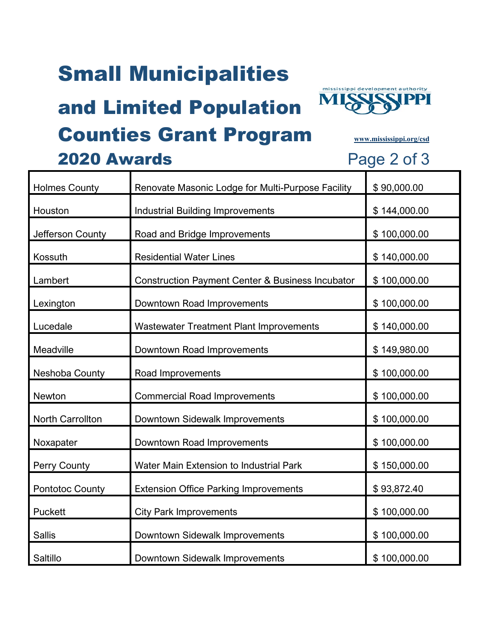# Small Municipalities

# and Limited Population



#### Counties Grant Program **[www.mississippi.org/csd](http://www.mississippi.org/csd)**

| <b>Holmes County</b>   | Renovate Masonic Lodge for Multi-Purpose Facility           | \$90,000.00  |
|------------------------|-------------------------------------------------------------|--------------|
| Houston                | <b>Industrial Building Improvements</b>                     | \$144,000.00 |
| Jefferson County       | Road and Bridge Improvements                                | \$100,000.00 |
| Kossuth                | <b>Residential Water Lines</b>                              | \$140,000.00 |
| Lambert                | <b>Construction Payment Center &amp; Business Incubator</b> | \$100,000.00 |
| Lexington              | Downtown Road Improvements                                  | \$100,000.00 |
| Lucedale               | <b>Wastewater Treatment Plant Improvements</b>              | \$140,000.00 |
| Meadville              | Downtown Road Improvements                                  | \$149,980.00 |
| Neshoba County         | Road Improvements                                           | \$100,000.00 |
| Newton                 | <b>Commercial Road Improvements</b>                         | \$100,000.00 |
| North Carrollton       | Downtown Sidewalk Improvements                              | \$100,000.00 |
| Noxapater              | Downtown Road Improvements                                  | \$100,000.00 |
| Perry County           | Water Main Extension to Industrial Park                     | \$150,000.00 |
| <b>Pontotoc County</b> | <b>Extension Office Parking Improvements</b>                | \$93,872.40  |
| <b>Puckett</b>         | <b>City Park Improvements</b>                               | \$100,000.00 |
| <b>Sallis</b>          | Downtown Sidewalk Improvements                              | \$100,000.00 |
| Saltillo               | Downtown Sidewalk Improvements                              | \$100,000.00 |

2020 Awards Page 2 of 3